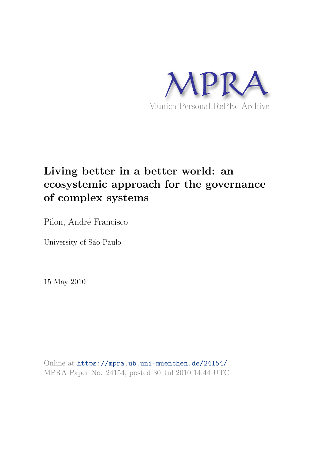

# **Living better in a better world: an ecosystemic approach for the governance of complex systems**

Pilon, André Francisco

University of São Paulo

15 May 2010

Online at https://mpra.ub.uni-muenchen.de/24154/ MPRA Paper No. 24154, posted 30 Jul 2010 14:44 UTC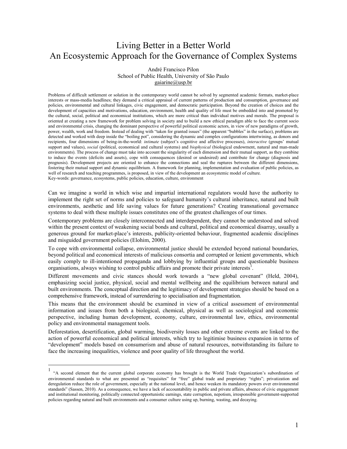# Living Better in a Better World An Ecosystemic Approach for the Governance of Complex Systems

André Francisco Pilon School of Public Health. University of São Paulo gaiarine@usp.br

Problems of difficult settlement or solution in the contemporary world cannot be solved by segmented academic formats, market-place interests or mass-media headlines; they demand a critical appraisal of current patterns of production and consumption, governance and policies, environmental and cultural linkages, civic engagement, and democratic participation. Beyond the creation of choices and the development of capacities and motivations, education, environment, health and quality of life must be embedded into and promoted by the cultural, social, political and economical institutions, which are more critical than individual motives and morals. The proposal is oriented at creating a new framework for problem solving in society and to build a new ethical paradigm able to face the current socio and environmental crisis, changing the dominant perspective of powerful political economic actors, in view of new paradigms of growth, power, wealth, work and freedom. Instead of dealing with "taken for granted issues" (the apparent "bubbles" in the surface), problems are detected and worked with deep inside the "boiling pot", considering the dynamic and complex configurations intertwining, as donors and recipients, four dimensions of being-in-the-world: intimate (subject's cognitive and affective processes), interactive (groups' mutual support and values), social (political, economical and cultural systems) and biophysical (biological endowment, natural and man-made environments). The process of change must take into account the singularity of each dimension and their mutual support, as they combine to induce the events (deficits and assets), cope with consequences (desired or undesired) and contribute for change (diagnosis and prognosis). Development projects are oriented to enhance the connections and seal the ruptures between the different dimensions, .<br>fostering their mutual support and dynamic equilibrium. A framework for planning, implementation and evaluation of public policies, as well of research and teaching programmes, is proposed, in view of the development an ecosystemic model of culture. Key-words: governance, ecosystems, public policies, education, culture, environment

Can we imagine a world in which wise and impartial international regulators would have the authority to implement the right set of norms and policies to safeguard humanity's cultural inheritance, natural and built environments, aesthetic and life saving values for future generations? Creating transnational governance systems to deal with these multiple issues constitutes one of the greatest challenges of our times.

Contemporary problems are closely interconnected and interdependent, they cannot be understood and solved within the present context of weakening social bonds and cultural, political and economical disarray, usually a generous ground for market-place's interests, publicity-oriented behaviour, fragmented academic disciplines and misguided government policies (Elohim, 2000).

To cope with environmental collapse, environmental justice should be extended beyond national boundaries, beyond political and economical interests of malicious consortia and corrupted or lenient governments, which easily comply to ill-intentioned propaganda and lobbying by influential groups and questionable business organisations, always wishing to control public affairs and promote their private interests<sup>1</sup>.

Different movements and civic stances should work towards a "new global covenant" (Held, 2004), emphasizing social justice, physical, social and mental wellbeing and the equilibrium between natural and built environments. The conceptual direction and the legitimacy of development strategies should be based on a comprehensive framework, instead of surrendering to specialisation and fragmentation.

This means that the environment should be examined in view of a critical assessment of environmental information and issues from both a biological, chemical, physical as well as sociological and economic perspective, including human development, economy, culture, environmental law, ethics, environmental policy and environmental management tools.

Deforestation, desertification, global warming, biodiversity losses and other extreme events are linked to the action of powerful economical and political interests, which try to legitimise business expansion in terms of "development" models based on consumerism and abuse of natural resources, notwithstanding its failure to face the increasing inequalities, violence and poor quality of life throughout the world.

<sup>&</sup>quot;A second element that the current global corporate economy has brought is the World Trade Organization's subordination of environmental standards to what are presented as "requisites" for "free" global trade and proprietary "rights"; privatization and deregulation reduce the role of government, especially at the national level, and hence weaken its mandatory powers over environmental standards" (Sassen, 2010). As a consequence, we have a lack of accountability in public and private affairs, absence of civic engagement and institutional monitoring, politically connected opportunistic earnings, state corruption, nepotism, irresponsible government-supported policies regarding natural and built environments and a consumer culture using up, burning, wasting, and decaying.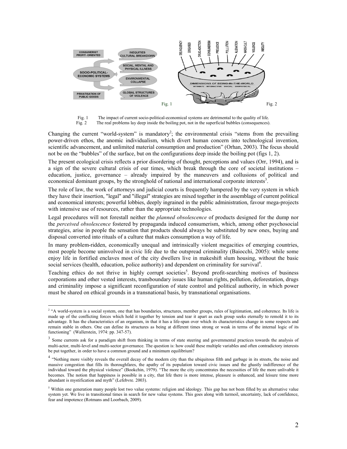

Fig. 1 The impact of current socio-political-economical systems are detrimental to the quality of life. Fig.  $2$ The real problems lay deep inside the boiling pot, not in the superficial bubbles (consequences).

Changing the current "world-system" is mandatory<sup>2</sup>; the environmental crisis "stems from the prevailing power-driven ethos, the anomic individualism, which divert human concern into technological invention, scientific advancement, and unlimited material consumption and production" (Orhan, 2003). The focus should not be on the "bubbles" of the surface, but on the configurations deep inside the boiling pot (figs 1, 2).

The present ecological crisis reflects a prior disordering of thought, perceptions and values (Orr, 1994), and is a sign of the severe cultural crisis of our times, which break through the core of societal institutions education, justice, governance – already impaired by the maneuvers and collusions of political and economical dominant groups, by the stronghold of national and international corporate interests<sup>3</sup>.

The role of law, the work of attorneys and judicial courts is frequently hampered by the very system in which they have their insertion, "legal" and "illegal" strategies are mixed together in the assemblage of current political and economical interests; powerful lobbies, deeply ingrained in the public administration, favour mega-projects with intensive use of resources, rather than the appropriate technologies.

Legal procedures will not forestall neither the *planned obsolescence* of products designed for the dump nor the *perceived obsolescence* fostered by propaganda induced consumerism, which, among other psychosocial strategies, arise in people the sensation that products should always be substituted by new ones, buying and disposal converted into rituals of a culture that makes consumption a way of life.

In many problem-ridden, economically unequal and intrinsically violent megacities of emerging countries, most people become uninvolved in civic life due to the outspread criminality (Baiocchi, 2005): while some enjoy life in fortified enclaves most of the city dwellers live in makeshift slum housing, without the basic social services (health, education, police authority) and dependent on criminality for survival<sup>4</sup>.

Teaching ethics do not thrive in highly corrupt societies<sup>5</sup>. Beyond profit-searching motives of business corporations and other vested interests, transboundary issues like human rights, pollution, deforestation, drugs and criminality impose a significant reconfiguration of state control and political authority, in which power must be shared on ethical grounds in a transnational basis, by transnational organisations.

<sup>&</sup>lt;sup>2</sup> "A world-system is a social system, one that has boundaries, structures, member groups, rules of legitimation, and coherence. Its life is made up of the conflicting forces which hold it together by tension and tear it apart as each group seeks eternally to remold it to its advantage. It has the characteristics of an organism, in that it has a life-span over which its characteristics change in some respects and remain stable in others. One can define its structures as being at different times strong or weak in terms of the internal logic of its functioning" (Wallerstein, 1974: pp. 347-57).

<sup>3</sup> Some currents ask for a paradigm shift from thinking in terms of state steering and governmental practices towards the analysis of multi-actor, multi-level and multi-sector governance. The question is: how could these multiple variables and often contradictory interests be put together, in order to have a common ground and a minimum equilibrium?

<sup>&</sup>lt;sup>4</sup> "Nothing more visibly reveals the overall decay of the modern city than the ubiquitous filth and garbage in its streets, the noise and massive congestion that fills its thoroughfares, the apathy of its population toward civic issues and the ghastly indifference of the individual toward the physical violence" (Bookchin, 1979). "The more the city concentrates the necessities of life the more unlivable it becomes. The notion that happiness is possible in a city, that life there is more intense, pleasure is enhanced, and leisure time more abundant is mystification and myth" (Lefebvre. 2003).

<sup>&</sup>lt;sup>5</sup> Within one generation many people lost two value systems: religion and ideology. This gap has not been filled by an alternative value system yet. We live in transitional times in search for new value systems. This goes along with turmoil, uncertainty, lack of confidence, fear and impotence (Rotmans and Loorbach, 2009).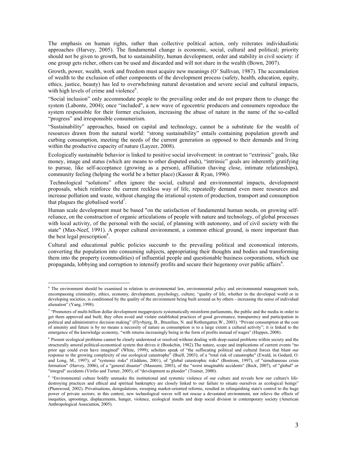The emphasis on human rights, rather than collective political action, only reiterates individualistic approaches (Harvey, 2005). The fundamental change is economic, social, cultural and political; priority should not be given to growth, but to sustainability, human development, order and stability in civil society: if one group gets richer, others can be used and discarded and will not share in the wealth (Bown, 2007).

Growth, power, wealth, work and freedom must acquire new meanings (O' Sullivan, 1987). The accumulation of wealth to the exclusion of other components of the development process (safety, health, education, equity, ethics, justice, beauty) has led to overwhelming natural devastation and severe social and cultural impacts, with high levels of crime and violence<sup>6</sup>.

"Social inclusion" only accommodate people to the prevailing order and do not prepare them to change the system (Labonte, 2004); once "included", a new wave of egocentric producers and consumers reproduce the system responsible for their former exclusion, increasing the abuse of nature in the name of the so-called "progress" and irresponsible consumerism.

"Sustainability" approaches, based on capital and technology, cannot be a substitute for the wealth of resources drawn from the natural world: "strong sustainability" entails containing population growth and curbing consumption, meeting the needs of the current generation as opposed to their demands and living within the productive capacity of nature (Layzer, 2008).

Ecologically sustainable behavior is linked to positive social involvement: in contrast to "extrinsic" goals, like money, image and status (which are means to other disputed ends), "intrinsic" goals are inherently gratifying to pursue, like self-acceptance (growing as a person), affiliation (having close, intimate relationships), community feeling (helping the world be a better place) (Kasser & Ryan, 1996).

Technological "solutions" often ignore the social, cultural and environmental impacts, development proposals, which reinforce the current reckless way of life, repeatedly demand even more resources and increase pollution and waste, without changing the irrational system of production, transport and consumption that plagues the globalised world<sup>7</sup>.

Human scale development must be based "on the satisfaction of fundamental human needs, on growing selfreliance, on the construction of organic articulations of people with nature and technology, of global processes with local activity, of the personal with the social, of planning with autonomy, and of civil society with the state" (Max-Neef, 1991). A proper cultural environment, a common ethical ground, is more important than the best legal prescription<sup>8</sup>.

Cultural and educational public policies succumb to the prevailing political and economical interests, converting the population into consuming subjects, appropriating their thoughts and bodies and transforming them into the property (commodities) of influential people and questionable business corporations, which use propaganda, lobbying and corruption to intensify profits and secure their hegemony over public affairs<sup>2</sup>.

<sup>&</sup>lt;sup>6</sup> The environment should be examined in relation to environmental law, environmental policy and environmental management tools, encompassing criminality, ethics, economy, development, psychology, culture; "quality of life, whether in the developed world or in developing societies, is conditioned by the quality of the environment being built around us by others - increasing the sense of individual alienation" (Yang, 1998).

<sup>&</sup>lt;sup>7</sup> "Promoters of multi-billion dollar development megaprojects systematically misinform parliaments, the public and the media in order to get them approved and built; they often avoid and violate established practices of good governance, transparency and participation in political and administrative decision making" (Flyvbjerg, B., Bruzelius, N. and Rothengatter, W., 2003). "Private consumption at the cost of amenity and future is by no means a necessity of nature as consumption is to a large extent a cultural activity"; it is linked to the emergence of the knowledge economy, "with returns increasingly being in the form of profits instead of wages" (Huppes, 2008).

<sup>&</sup>lt;sup>8</sup> Present ecological problems cannot be clearly understood or resolved without dealing with deep-seated problems within society and the structurally amoral political-economical system thst drives it (Bookchin, 1982). The nature, scope and implications of current events "no prior age could even have imagined" (White, 1999); scholars speak of "the suffocating political and cultural forces that blunt our response to the growing complexity of our ecological catastrophe" (Buell, 2003); of a "total risk of catastrophe" (Ewald, in Godard, O. and Long, M., 1997); of "systemic risks" (Giddens, 2001), of "global catastrophic risks" (Bostrom, 1997), of "simultaneous crisis formation" (Harvey, 2006), of a "general disaster" (Massumi, 2003), of the "worst imaginable accidents" (Beck, 2007), of "global" or "integral" accidents (Virilio and Turner, 2005), of "development as plunder" (Trainer, 2000).

<sup>&</sup>lt;sup>9</sup> "Environmental culture boldly unmasks the institutional and systemic violence of our culture and reveals how our culture's lifedestroying practices and ethical and spiritual bankruptcy are closely linked to our failure to situate ourselves as ecological beings" (Plumwood, 2002). Privatisations, deregulations, sweeping market-oriented reforms, resulted in relinquishing state's control to the huge power of private sectors; in this context, new technological waves will not rescue a devastated environment, nor relieve the effects of inequities, uprootings, displacements, hunger, violence, ecological insults and deep social division in contemporary society (American Anthropological Association, 2005).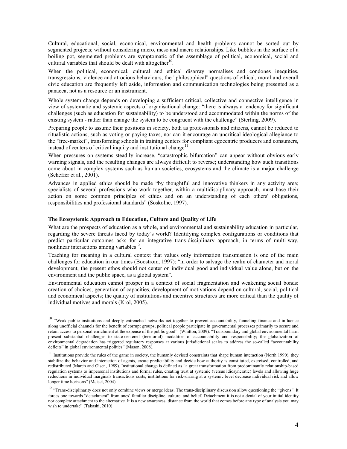Cultural, educational, social, economical, environmental and health problems cannot be sorted out by segmented projects; without considering micro, meso and macro relationships. Like bubbles in the surface of a boiling pot, segmented problems are symptomatic of the assemblage of political, economical, social and cultural variables that should be dealt with altogether<sup>10</sup>.

When the political, economical, cultural and ethical disarray normalises and condones inequities, transgressions, violence and atrocious behaviours, the "philosophical" questions of ethical, moral and overall civic education are frequently left aside, information and communication technologies being presented as a panacea, not as a resource or an instrument.

Whole system change depends on developing a sufficient critical, collective and connective intelligence in view of systematic and systemic aspects of organisational change: "there is always a tendency for significant challenges (such as education for sustainability) to be understood and accommodated within the norms of the existing system - rather than change the system to be congruent with the challenge" (Sterling, 2009).

Preparing people to assume their positions in society, both as professionals and citizens, cannot be reduced to ritualistic actions, such as voting or paying taxes, nor can it encourage an uncritical ideological allegiance to the "free-market", transforming schools in training centers for compliant egocentric producers and consumers, instead of centers of critical inquiry and institutional change<sup>11</sup>.

When pressures on systems steadily increase, "catastrophic bifurcation" can appear without obvious early warning signals, and the resulting changes are always difficult to reverse; understanding how such transitions come about in complex systems such as human societies, ecosystems and the climate is a major challenge (Scheffer et al., 2001).

Advances in applied ethics should be made "by thoughtful and innovative thinkers in any activity area; specialists of several professions who work together, within a multidisciplinary approach, must base their action on some common principles of ethics and on an understanding of each others' obligations, responsibilities and professional standards" (Soskolne, 1997).

#### The Ecosystemic Approach to Education, Culture and Quality of Life

What are the prospects of education as a whole, and environmental and sustainability education in particular, regarding the severe threats faced by today's world? Identifying complex configurations or conditions that predict particular outcomes asks for an integrative trans-disciplinary approach, in terms of multi-way, nonlinear interactions among variables<sup>12</sup>.

Teaching for meaning in a cultural context that values only information transmission is one of the main challenges for education in our times (Boostrom, 1997): "in order to salvage the realm of character and moral development, the present ethos should not center on individual good and individual value alone, but on the environment and the public space, as a global system".

Environmental education cannot prosper in a context of social fragmentation and weakening social bonds: creation of choices, generation of capacities, development of motivations depend on cultural, social, political and economical aspects; the quality of institutions and incentive structures are more critical than the quality of individual motives and morals (Krol, 2005).

<sup>&</sup>lt;sup>10</sup> "Weak public institutions and deeply entrenched networks act together to prevent accountability, funneling finance and influence along unofficial channels for the benefit of corrupt groups; political people participate in governmental processes primarily to secure and retain access to personal enrichment at the expense of the public good" (Whitton, 2009). "Transboundary and global environmental harm present substantial challenges to state-centered (territorial) modalities of accountability and responsibility; the globalization of environmental degradation has triggered regulatory responses at various jurisdictional scales to address the so-called "accountability deficits" in global environmental politics" (Mason, 2008).

 $11$  Institutions provide the rules of the game in society, the humanly devised constraints that shape human interaction (North 1990), they stabilize the behavior and interaction of agents, create predictability and decide how authority is constituted, exercised, controlled, and redistributed (March and Olsen, 1989). Institutional change is defined as "a great transformation from predominantly relationship-based regulation systems to impersonal institutions and formal rules, creating trust at systemic (versus idiosyncratic) levels and allowing huge reductions in individual marginals transactions costs; institutions for risk-sharing at a systemic level decrease individual risk and allow longer time horizons" (Meisel, 2004).

<sup>&</sup>lt;sup>12</sup> "Trans-disciplinarity does not only combine views or merge ideas. The trans-disciplinary discussion allow questioning the "givens." It forces one towards "detachment" from ones' familiar discipline, culture, and belief. Detachment it is not a denial of your initial identity nor complete attachment to the alternative. It is a new awareness, distance from the world that comes before any type of analysis you may wish to undertake" (Takashi, 2010).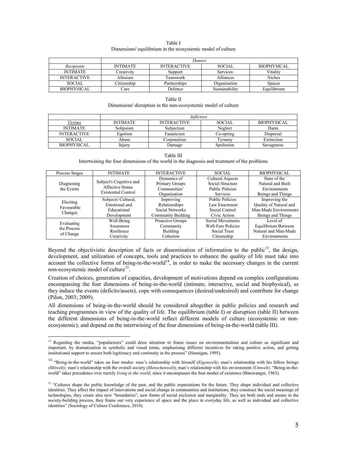| Table I                                                     |
|-------------------------------------------------------------|
| Dimensions' equilibrium in the ecosystemic model of culture |

|                    | <b>Donors</b>   |                    |                |               |
|--------------------|-----------------|--------------------|----------------|---------------|
| Recipients         | <b>INTIMATE</b> | <b>INTERACTIVE</b> | <b>SOCIAL</b>  | BIOPHYSICAL   |
| <b>INTIMATE</b>    | Creativity      | Support            | Services:      | Vitality      |
| <b>INTERACTIVE</b> | Altruism        | Teamwork           | Alliances      | Niches        |
| <b>SOCIAL</b>      | Citizenship     | Partnerships       | Organisation   | <b>Spaces</b> |
| <b>BIOPHYSICAL</b> | Care            | Defence            | Sustainability | Equilibrium   |

| Table II                                                       |
|----------------------------------------------------------------|
| Dimensions' disruption in the non-ecosystemic model of culture |

|                    | Inflictors      |                    |               |             |
|--------------------|-----------------|--------------------|---------------|-------------|
| Victims            | <b>INTIMATE</b> | <b>INTERACTIVE</b> | <b>SOCIAL</b> | BIOPHYSICAL |
| <b>INTIMATE</b>    | Solipsism       | Subiection         | Neglect       | Harm        |
| <b>INTERACTIVE</b> | Egotism         | Fanaticism         | Co-opting     | Dispersal   |
| <b>SOCIAL</b>      | Abuse           | Corporatism        | l vrannv      | Extinction  |
| <b>BIOPHYSICAL</b> | Injury          | Damage             | Spoliation    | Savageness  |

Table III Intertwining the four dimensions of the world in the diagnosis and treatment of the problems

| Process Stages                         | <b>INTIMATE</b>                                                                  | <b>INTERACTIVE</b>        | SOCIAL.                   | <b>BIOPHYSICAL</b>     |
|----------------------------------------|----------------------------------------------------------------------------------|---------------------------|---------------------------|------------------------|
| Diagnosing<br>the Events               | Subject's Cognitive and<br><b>Affective Status</b><br><b>Existential Control</b> | Dynamics of               | <b>Cultural Aspects</b>   | State of the           |
|                                        |                                                                                  | Primary Groups            | Social Structure          | Natural and Built      |
|                                        |                                                                                  | Communities'              | <b>Public Policies</b>    | Environments           |
|                                        |                                                                                  | Organisation              | <b>Services</b>           | Beings and Things      |
| Eliciting<br>Favourable<br>Changes     | Subjects' Cultural,                                                              | Improving                 | <b>Public Policies</b>    | Improving the          |
|                                        | Emotional and                                                                    | Relationships             | Law Enactment             | Quality of Natural and |
|                                        | Educational                                                                      | Social Networks           | Social Control            | Man-Made Environments  |
|                                        | Development                                                                      | <b>Community Building</b> | Civic Action              | Beings and Things      |
| Evaluating<br>the Process<br>of Change | Well-Being                                                                       | Proactive Groups          | Social Movements          | Level of               |
|                                        | Awareness                                                                        | Community                 | <b>Well-Fare Policies</b> | Equilibrium Between    |
|                                        | Resilience                                                                       | Building                  | Social Trust              | Natural and Man-Made   |
|                                        | Creativity                                                                       | Cohesion                  | Citizenship               | Environments           |

Beyond the objectivistic description of facts or dissemination of information to the public<sup>13</sup>, the design, development, and utilization of concepts, tools and practices to enhance the quality of life must take into account the collective forms of being-in-the-world<sup>14</sup>, in order to make the necessary changes in the current non-ecosystemic model of culture<sup>15</sup>.

Creation of choices, generation of capacities, development of motivations depend on complex configurations encompassing the four dimensions of being-in-the-world (intimate, interactive, social and biophysical), as they induce the events (deficits/assets), cope with consequences (desired/undesired) and contribute for change (Pilon, 2003; 2009).

All dimensions of being-in-the-world should be considered altogether in public policies and research and teaching programmes in view of the quality of life. The equilibrium (table I) or disruption (table II) between the different dimensions of being-in-the-world reflect different models of culture (ecosystemic or nonecosystemic), and depend on the intertwining of the four dimensions of being-in-the-world (table III).

<sup>&</sup>lt;sup>13</sup> Regarding the media, "popularizers" could draw attention to frame issues on environmentalism and culture as significant and important, by dramatization in symbolic and visual terms, emphasising different incentives for taking positive action, and getting institutional support to ensure both legitimacy and continuity in the process" (Hannigan, 1995).

<sup>&</sup>lt;sup>14</sup> "Being-in-the-world" takes on four modes: man's relationship with himself (Eigenwelt); man's relationship with his fellow beings (Mitwelt); man's relationship with the overall society (Menschenwelt); man's relationship with his environment (Umwelt). "Being-in-theworld" takes precedence over merely living in the world, since it encompasses the four modes of existence (Binswanger, 1963).

<sup>&</sup>lt;sup>15</sup> "Cultures shape the public knowledge of the past, and the public expectations for the future. They shape individual and collective identities. They affect the impact of innovations and social change in communities and institutions, they construct the social meanings of technologies, they create also new "boundaries", new forms of social exclusion and marginality. They are both ends and means in the society-building process, they frame our very experience of space and the place in everyday life, as well as individual and collective identities" (Sociology of Culture Conference, 2010).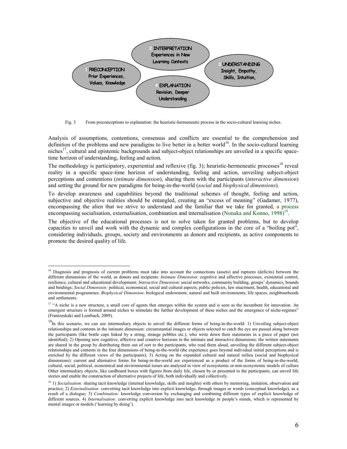

From preconceptions to explanation: the heuristic-hermeneutic process in the socio-cultural learning niches. Fig.  $3$ 

Analysis of assumptions, contentions, consensus and conflicts are essential to the comprehension and definition of the problems and new paradigms to live better in a better world<sup>16</sup>. In the socio-cultural learning niches<sup>17</sup>, cultural and epistemic backgrounds and subject-object relationships are unveiled in a specific spacetime horizon of understanding, feeling and action.

The methodology is participatory, experiential and reflexive (fig. 3); heuristic-hermeneutic processes<sup>18</sup> reveal reality in a specific space-time horizon of understanding, feeling and action, unveiling subject-object perceptions and contentions *(intimate dimension)*, sharing them with the participants *(interactive dimension)* and setting the ground for new paradigms for being-in-the-world (*social* and *biophysical dimensions*).

To develop awareness and capabilities beyond the traditional schemes of thought, feeling and action, subjective and objective realities should be entangled, creating an "excess of meaning" (Gadamer, 1977), encompassing the alien that we strive to understand and the familiar that we take for granted, a process encompassing socialisation, externalisation, combination and internalisation (Nonaka and Konno, 1998)<sup>19</sup>.

The objective of the educational processes is not to solve taken for granted problems, but to develop capacities to unveil and work with the dynamic and complex configurations in the core of a "boiling pot", considering individuals, groups, society and environments as donors and recipients, as active components to promote the desired quality of life.

<sup>&</sup>lt;sup>16</sup> Diagnosis and prognosis of current problems must take into account the connections (assets) and ruptures (deficits) between the different dimensions of the world, as donors and recipients: *Intimate Dimension*: cognitive and affective processes, existential control, resilience, cultural and educational development; *Interactive Dimension*: social networks, community building, groups' dynamics, bounds and bindings; Social Dimension: political, economical, social and cultural aspects, public policies, law enactment, health, educational and environmental programmes; Biophysical Dimension: biological endowment, natural and built environments, life spaces, neighbourhoods and settlements.

<sup>&</sup>lt;sup>17</sup> "A niche is a new structure, a small core of agents that emerges within the system and is seen as the incumbent for innovation. An emergent structure is formed around niches to stimulate the further development of these niches and the emergence of niche-regimes" (Frantzeskaki and Loorbach, 2009).

<sup>&</sup>lt;sup>18</sup>In this scenario, we can use intermediary objects to unveil the different forms of being-in-the-world: 1) Unveiling subject-object relationships and contents in the intimate dimension: circumstantial images or objects selected to catch the eye are passed along between the participants (like bottle caps linked by a string, strange pebbles etc.), who write down their statements in a piece of paper (not identified); 2) Opening new cognitive, affective and conative horizons in the intimate and interactive dimensions: the written statements are shared in the group by distributing them out of sort to the participants, who read them aloud, unveiling the different subject-object relationships and contents in the four dimensions of being-in-the-world (the experience goes beyond individual initial perceptions and is enriched by the different views of the participants); 3) Acting on the expanded cultural and natural milieu (social and biophysical dimensions): current and alternative forms for being-in-the-world are experienced as a product of the forms of being-in-the-world, cultural, social, political, economical and environmental issues are analysed in view of ecosystemic or non-ecosystemic models of culture Other intermediary objects, like cardboard boxes with figures from daily life, chosen by or presented to the participants, can unveil life stories and enable the construction of alternative projects of life, both individually and collectively.

<sup>&</sup>lt;sup>19</sup> 1) Socialisation: sharing tacit knowledge (internal knowledge, skills and insights) with others by mentoring, imitation, observation and practice; 2) Externalisation: converting tacit knowledge into explicit knowledge, through images or words (conceptual knowledge), as a result of a dialogue; 3) Combination: knowledge conversion by exchanging and combining different types of explicit knowledge of different sources. 4) Internalisation: converting explicit knowledge into tacit knowledge in people's minds, which is represented by mental images or models ('learning by doing').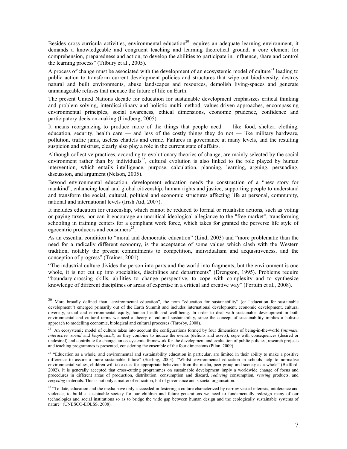Besides cross-curricula activities, environmental education<sup>20</sup> requires an adequate learning environment, it demands a knowledgeable and congruent teaching and learning theoretical ground, a core element for comprehension, preparedness and action, to develop the abilities to participate in, influence, share and control the learning process" (Tilbury et al., 2005).

A process of change must be associated with the development of an ecosystemic model of culture<sup>21</sup> leading to public action to transform current development policies and structures that wipe out biodiversity, destroy natural and built environments, abuse landscapes and resources, demolish living-spaces and generate unmanageable refuses that menace the future of life on Earth.

The present United Nations decade for education for sustainable development emphasizes critical thinking and problem solving, interdisciplinary and holistic multi-method, values-driven approaches, encompassing environmental principles, social awareness, ethical dimensions, economic prudence, confidence and participatory decision-making (Lindberg, 2005).

It means reorganizing to produce more of the things that people need — like food, shelter, clothing, education, security, health care  $-$  and less of the costly things they do not  $-$  like military hardware, pollution, traffic jams, useless chattels and crime. Failures in governance at many levels, and the resulting suspicion and mistrust, clearly also play a role in the current state of affairs.

Although collective practices, according to evolutionary theories of change, are mainly selected by the social environment rather than by individuals<sup>22</sup>, cultural evolution is also linked to the role played by human intervention, which entails intelligence, purpose, calculation, planning, learning, arguing, persuading, discussion, and argument (Nelson, 2005).

Beyond environmental education, development education needs the construction of a "new story for mankind", enhancing local and global citizenship, human rights and justice, supporting people to understand and transform the social, cultural, political and economic structures affecting life at personal, community, national and international levels (Irish Aid, 2007).

It includes education for citizenship, which cannot be reduced to formal or ritualistic actions, such as voting or paying taxes, nor can it encourage an uncritical ideological allegiance to the "free-market", transforming schooling in training centers for a compliant work force, which takes for granted the perverse life style of egocentric producers and consumers $^{23}$ .

As an essential condition to "moral and democratic education" (Lind. 2003) and "more problematic than the need for a radically different economy, is the acceptance of some values which clash with the Western tradition, notably the present commitments to competition, individualism and acquisitiveness, and the conception of progress" (Trainer, 2001).

"The industrial culture divides the person into parts and the world into fragments, but the environment is one whole, it is not cut up into specialties, disciplines and departments" (Drengson, 1995). Problems require "boundary-crossing skills, abilities to change perspective, to cope with complexity and to synthesize knowledge of different disciplines or areas of expertise in a critical and creative way" (Fortuin et al., 2008).

<sup>&</sup>lt;sup>20</sup> More broadly defined than "environmental education", the term "education for sustainability" (or "education for sustainable development") emerged primarily out of the Earth Summit and includes international development, economic development, cultural diversity, social and environmental equity, human health and well-being. In order to deal with sustainable development in both environmental and cultural terms we need a theory of cultural sustainability, since the concept of sustainability implies a holistic approach to modelling economic, biological and cultural processes (Throsby, 2008).

<sup>&</sup>lt;sup>21</sup> An ecosystemic model of culture takes into account the configurations formed by four dimensions of being-in-the-world (intimate, *interactive, social* and *biophysical*), as they combine to induce the events (deficits and assets), cope with consequences (desired or undesired) and contribute for change; an ecosystemic framework for the development and evaluation of public policies, research projects and teaching programmes is presented, considering the ensemble of the four dimensions (Pilon, 2009).

<sup>&</sup>lt;sup>22</sup> "Education as a whole, and environmental and sustainability education in particular, are limited in their ability to make a positive difference to assure a more sustainable future" (Sterling, 2003). "Whilst environmental education in schools help to normalise environmental values, children will take cues for appropriate behaviour from the media, peer group and society as a whole" (Bedford, 2002). It is generally accepted that cross-cutting programmes on sustainable development imply a worldwide change of focus and procedures in different areas of production, distribution, consumption and discard, reducing consumption, reusing products, and *recycling* materials. This is not only a matter of education, but of governance and societal organisation.

<sup>&</sup>lt;sup>23</sup> "To date, education and the media have only succeeded in fostering a culture characterized by narrow vested interests, intolerance and violence; to build a sustainable society for our children and future generations we need to fundamentally redesign many of our technologies and social institutions so as to bridge the wide gap between human design and the ecologically sustainable systems of nature" (UNESCO-EOLSS, 2008).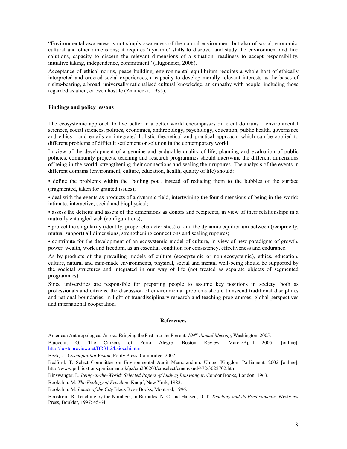"Environmental awareness is not simply awareness of the natural environment but also of social, economic, cultural and other dimensions; it requires 'dynamic' skills to discover and study the environment and find solutions, capacity to discern the relevant dimensions of a situation, readiness to accept responsibility, initiative taking, independence, commitment" (Hugonnier, 2008).

Acceptance of ethical norms, peace building, environmental equilibrium requires a whole host of ethically interpreted and ordered social experiences, a capacity to develop morally relevant interests as the bases of rights-bearing, a broad, universally rationalised cultural knowledge, an empathy with people, including those regarded as alien, or even hostile (Znaniecki, 1935).

## **Findings and policy lessons**

The ecosystemic approach to live better in a better world encompasses different domains – environmental sciences, social sciences, politics, economics, anthropology, psychology, education, public health, governance and ethics - and entails an integrated holistic theoretical and practical approach, which can be applied to different problems of difficult settlement or solution in the contemporary world.

In view of the development of a genuine and endurable quality of life, planning and evaluation of public policies, community projects, teaching and research programmes should intertwine the different dimensions of being-in-the-world, strengthening their connections and sealing their ruptures. The analysis of the events in different domains (environment, culture, education, health, quality of life) should:

• define the problems within the "boiling pot", instead of reducing them to the bubbles of the surface (fragmented, taken for granted issues);

• deal with the events as products of a dynamic field, intertwining the four dimensions of being-in-the-world: intimate, interactive, social and biophysical;

• assess the deficits and assets of the dimensions as donors and recipients, in view of their relationships in a mutually entangled web (configurations);

• protect the singularity (identity, proper characteristics) of and the dynamic equilibrium between (reciprocity, mutual support) all dimensions, strengthening connections and sealing ruptures;

• contribute for the development of an ecosystemic model of culture, in view of new paradigms of growth, power, wealth, work and freedom, as an essential condition for consistency, effectiveness and endurance.

As by-products of the prevailing models of culture (ecosystemic or non-ecosystemic), ethics, education, culture, natural and man-made environments, physical, social and mental well-being should be supported by the societal structures and integrated in our way of life (not treated as separate objects of segmented programmes).

Since universities are responsible for preparing people to assume key positions in society, both as professionals and citizens, the discussion of environmental problems should transcend traditional disciplines and national boundaries, in light of transdisciplinary research and teaching programmes, global perspectives and international cooperation.

### **References**

American Anthropological Assoc., Bringing the Past into the Present.  $104<sup>th</sup>$  Annual Meeting, Washington, 2005.

 $\mathbf{G}$ . The Citizens of Porto Alegre. March/April Baiocchi. Boston Review, 2005. [online]: http://bostonreview.net/BR31.2/baiocchi.html

Beck, U. Cosmopolitan Vision, Polity Press, Cambridge, 2007.

Bedford, T. Select Committee on Environmental Audit Memorandum. United Kingdom Parliament, 2002 [online]: http://www.publications.parliament.uk/pa/cm200203/cmselect/cmenvaud/472/3022702.htm

Binswanger, L. Being-in-the-World: Selected Papers of Ludwig Binswanger. Condor Books, London, 1963.

Bookchin, M. The Ecology of Freedom. Knopf, New York, 1982.

Bookchin, M. Limits of the City Black Rose Books, Montreal, 1996.

Boostrom, R. Teaching by the Numbers, in Burbules, N. C. and Hansen, D. T. Teaching and its Predicaments. Westview Press, Boulder, 1997: 45-64.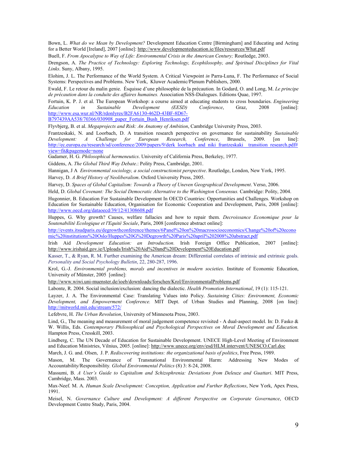Bown, L. What do we Mean by Development? Development Education Centre [Birmingham] and Educating and Acting for a Better World [Ireland], 2007 [online]: http://www.developmenteducation.ie/files/resources/What.pdf

Buell, F. From Apocalypse to Way of Life: Environmental Crisis in the American Century; Routledge, 2003.

Drengson, A. The Practice of Technology: Exploring Technology, Ecophilosophy, and Spiritual Disciplines for Vital Links. Suny, Albany, 1995.

Elohim, J. L. The Performance of the World System. A Critical Viewpoint in Parra-Luna, F. The Performance of Social Systems: Perspectives and Problems. New York, Kluwer Academic/Plenum Publishers, 2000.

Ewald, F. Le retour du malin genie. Ésquisse d'une philosophie de la précaution. In Godard, O. and Long, M. Le principe de précaution dans la conduite des affaires humaines. Association NSS-Dialogues. Editions Quae, 1997.

Fortuin, K. P. J. et al. The European Workshop: a course aimed at educating students to cross boundaries. Engineering Development Education in Sustainable (EESD) Conference, Graz. 2008 [online]: http://www.esa.wur.nl/NR/rdonlyres/B2FA6130-462D-43BF-8D67-B797439AA538/70366/030908\_paper\_Fortuin\_Bush\_Henriksen.pdf

Flyvbjerg, B. et al. Megaprojects and Risk: An Anatomy of Ambition, Cambridge University Press, 2003.

Frantzeskaki, N. and Loorbach, D. A transition research perspective on governance for sustainability Sustainable Development:  $\overline{A}$ Challenge for European Research, Conference, Brussels, 2009.  $\lceil$  on line]: http://ec.europa.eu/research/sd/conference/2009/papers/9/derk loorbach and niki frantzeskaki transition research.pdf# view=fit&pagemode=none

Gadamer, H. G. Philosophical hermeneutics. University of California Press, Berkeley, 1977.

Giddens, A. The Global Third Way Debate.: Polity Press, Cambridge, 2001.

Hannigan, J A Environmental sociology, a social constructionist perspective. Routledge, London, New York, 1995.

Harvey, D. A Brief History of Neoliberalism. Oxford University Press, 2005.

Harvey, D. Spaces of Global Capitalism: Towards a Theory of Uneven Geographical Development. Verso, 2006.

Held, D. Global Covenant: The Social Democratic Alternative to the Washington Consensus. Cambridge: Polity, 2004.

Hugonnier, B. Education For Sustainable Development In OECD Countries: Opportunities and Challenges. Workshop on Education for Sustainable Education, Organisation for Economic Cooperation and Development, Paris, 2008 [online]: http://www.oecd.org/dataoecd/39/12/41308608.pdf

Huppes, G. Why growth? Causes, welfare fallacies and how to repair them. Decroissance Economique pour la Soutenabilité Ecologique et l'Equité Sociale, Paris, 2008 [conference abstract online]:

http://events.itsudparis.eu/degrowthconference/themes/6Panel%20on%20macrosocioeconomics/Change%20of%20econo mic%20institutions%20Oslo/Huppes%20G%20Degrowth%20Paris%20april%202008%20abstract.pdf

Irish Aid Development Education: an Introduction. Irish Foreign Office Publication, 2007 [online]: http://www.irishaid.gov.ie/Uploads/Irish%20Aid%20and%20Development%20Education.pdf

Kasser, T., & Ryan, R. M. Further examining the American dream: Differential correlates of intrinsic and extrinsic goals. Personality and Social Psychology Bulletin, 22, 280-287, 1996.

Krol, G.-J. Environmental problems, morals and incentives in modern societies. Institute of Economic Education, University of Münster, 2005 [online]:

http://www.wiwi.uni-muenster.de/ioeb/downloads/forschen/Krol/EnvironmentalProblems.pdf

Labonte, R. 2004. Social inclusion/exclusion: dancing the dialectic. *Health Promotion International*, 19 (1): 115-121.

Layzer, J. A. The Environmental Case: Translating Values into Policy. Sustaining Cities: Environment, Economic Development, and Empowerment Conference. MIT Dept. of Urban Studies and Planning, 2008 [on line]: http://mitworld.mit.edu/stream/572/

Lefebvre, H. The Urban Revolution, University of Minnesota Press, 2003.

Lind, G., The meaning and measurement of moral judgement competence revisited - A dual-aspect model. In: D. Fasko & W. Willis, Eds. Contemporary Philosophical and Psychological Perspectives on Moral Development and Education. Hampton Press, Cresskill, 2003.

Lindberg, C. The UN Decade of Education for Sustainable Development. UNECE High-Level Meeting of Environment and Education Ministries, Vilnius, 2005. [online]: http://www.unece.org/env/esd/HLM.intervent/UNESCO.Carl.doc

March, J. G. and. Olsen, J. P. Rediscovering institutions: the organizational basis of politics, Free Press, 1989.

The Governance of Transnational Environmental Harm: Addressing New Modes M Mason of Accountability/Responsibility. Global Environmental Politics (8) 3: 8-24, 2008.

Massumi, B. A User's Guide to Capitalism and Schizophrenia: Deviations from Deleuze and Guattari. MIT Press, Cambridge, Mass. 2003.

Max-Neef. M. A. Human Scale Development: Conception, Application and Further Reflections, New York, Apex Press, 1991.

Meisel, N. Governance Culture and Development: A different Perspective on Corporate Governance, OECD Development Centre Study, Paris, 2004.